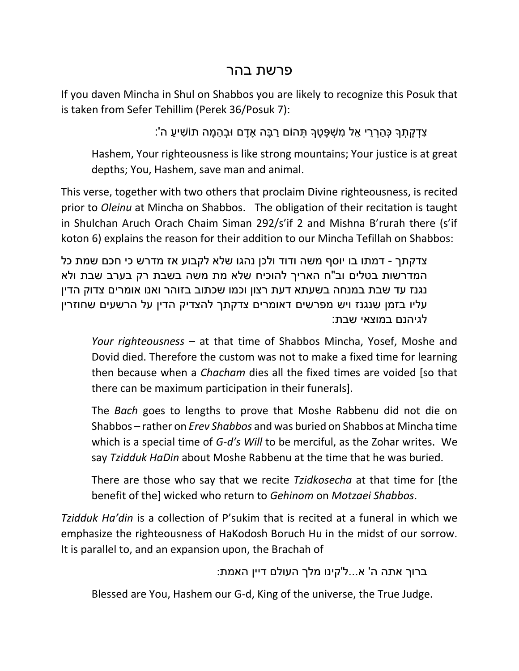## פרשת בהר

If you daven Mincha in Shul on Shabbos you are likely to recognize this Posuk that is taken from Sefer Tehillim (Perek 36/Posuk 7):

ָצְדָקְתָךָ כָּהְרָרי אַל מַשָׁפַּטֶךָ תָּהוֹם רִבּה אַדם וּבָהמה תוֹשִׁיע ה':

Hashem, Your righteousness is like strong mountains; Your justice is at great depths; You, Hashem, save man and animal.

This verse, together with two others that proclaim Divine righteousness, is recited prior to *Oleinu* at Mincha on Shabbos. The obligation of their recitation is taught in Shulchan Aruch Orach Chaim Siman 292/s'if 2 and Mishna B'rurah there (s'if koton 6) explains the reason for their addition to our Mincha Tefillah on Shabbos:

צדקתך - דמתו בו יוסף משה ודוד ולכן נהגו שלא לקבוע אז מדרש כי חכם שמת כל המדרשות בטלים וב"ח האריך להוכיח שלא מת משה בשבת רק בערב שבת ולא נגנז עד שבת במנחה בשעתא דעת רצון וכמו שכתוב בזוהר ואנו אומרים צדוק הדין עליו בזמן שנגנז ויש מפרשים דאומרים צדקתך להצדיק הדין על הרשעים שחוזרין לגיהנם במוצאי שבת:

*Your righteousness* – at that time of Shabbos Mincha, Yosef, Moshe and Dovid died. Therefore the custom was not to make a fixed time for learning then because when a *Chacham* dies all the fixed times are voided [so that there can be maximum participation in their funerals].

The *Bach* goes to lengths to prove that Moshe Rabbenu did not die on Shabbos – rather on *Erev Shabbos* and was buried on Shabbos at Mincha time which is a special time of *G-d's Will* to be merciful, as the Zohar writes. We say *Tzidduk HaDin* about Moshe Rabbenu at the time that he was buried.

There are those who say that we recite *Tzidkosecha* at that time for [the benefit of the] wicked who return to *Gehinom* on *Motzaei Shabbos*.

*Tzidduk Ha'din* is a collection of P'sukim that is recited at a funeral in which we emphasize the righteousness of HaKodosh Boruch Hu in the midst of our sorrow. It is parallel to, and an expansion upon, the Brachah of

```
ברוך אתה ה' א...ל'קינו מלך העולם דיין האמת:
```
Blessed are You, Hashem our G-d, King of the universe, the True Judge.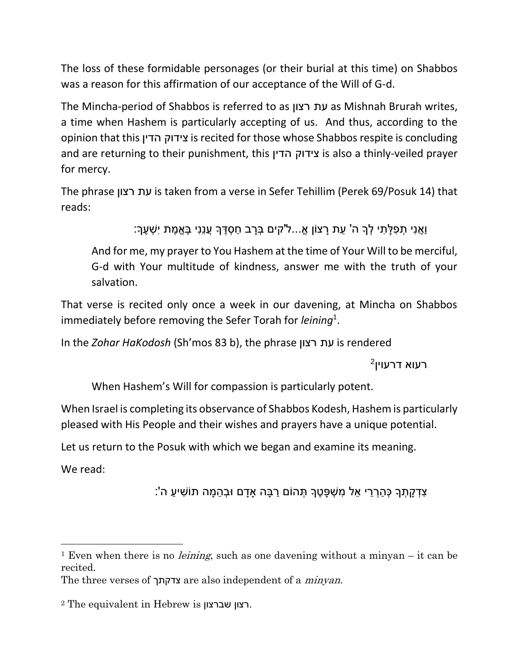The loss of these formidable personages (or their burial at this time) on Shabbos was a reason for this affirmation of our acceptance of the Will of G-d.

The Mincha-period of Shabbos is referred to as רצון עת as Mishnah Brurah writes, a time when Hashem is particularly accepting of us. And thus, according to the opinion that this הדין צידוק is recited for those whose Shabbos respite is concluding and are returning to their punishment, this הדין צידוק is also a thinly-veiled prayer for mercy.

The phrase רצון עת is taken from a verse in Sefer Tehillim (Perek 69/Posuk 14) that reads:

וֹאֲנִי תְפלתי לְךָ ה' עת רצוֹן אֵ...ל'קים בְּרב חסְדֶךָ עֲנַנִי בֵּאֱמֶת יִשָׁעֶךָ:

And for me, my prayer to You Hashem at the time of Your Will to be merciful, G-d with Your multitude of kindness, answer me with the truth of your salvation.

That verse is recited only once a week in our davening, at Mincha on Shabbos immediately before removing the Sefer Torah for *leining*<sup>1</sup> .

In the *Zohar HaKodosh* (Sh'mos 83 b), the phrase רצון עת is rendered

 $^2$ רעוא דרעוין

When Hashem's Will for compassion is particularly potent.

When Israel is completing its observance of Shabbos Kodesh, Hashem is particularly pleased with His People and their wishes and prayers have a unique potential.

Let us return to the Posuk with which we began and examine its meaning.

We read:

 $\overline{\phantom{a}}$ 

ָצְדָקַתָךָ כָּהַרְרֵי אֱל מְשִׁפֵּטֶךָ תָּהוֹם רַבַּה אַדַם וּבְהֶמָּה תוֹשִׁיעַ ה':

<sup>&</sup>lt;sup>1</sup> Even when there is no *leining*, such as one davening without a minyan – it can be recited.

The three verses of צדקתך are also independent of a *minyan*.

<sup>2</sup> The equivalent in Hebrew is שברצון רצון.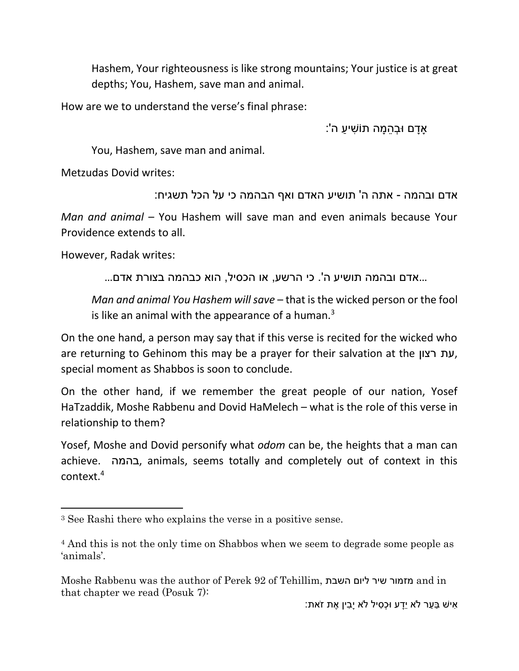Hashem, Your righteousness is like strong mountains; Your justice is at great depths; You, Hashem, save man and animal.

How are we to understand the verse's final phrase:

ָּאַדַם וּבְהֶמֶּה תוֹשִׁיעַ ה':

You, Hashem, save man and animal.

Metzudas Dovid writes:

אדם ובהמה - אתה ה' תושיע האדם ואף הבהמה כי על הכל תשגיח:

*Man and animal* – You Hashem will save man and even animals because Your Providence extends to all.

However, Radak writes:

l

...אדם ובהמה תושיע ה'. כי הרשע, או הכסיל, הוא כבהמה בצורת אדם...

*Man and animal You Hashem will save* – that is the wicked person or the fool is like an animal with the appearance of a human. $3$ 

On the one hand, a person may say that if this verse is recited for the wicked who are returning to Gehinom this may be a prayer for their salvation at the רצון עת, special moment as Shabbos is soon to conclude.

On the other hand, if we remember the great people of our nation, Yosef HaTzaddik, Moshe Rabbenu and Dovid HaMelech – what is the role of this verse in relationship to them?

Yosef, Moshe and Dovid personify what *odom* can be, the heights that a man can achieve. בהמה, animals, seems totally and completely out of context in this context.<sup>4</sup>

<sup>3</sup> See Rashi there who explains the verse in a positive sense.

<sup>4</sup> And this is not the only time on Shabbos when we seem to degrade some people as 'animals'.

Moshe Rabbenu was the author of Perek 92 of Tehillim, השבת ליום שיר מזמור and in that chapter we read (Posuk 7):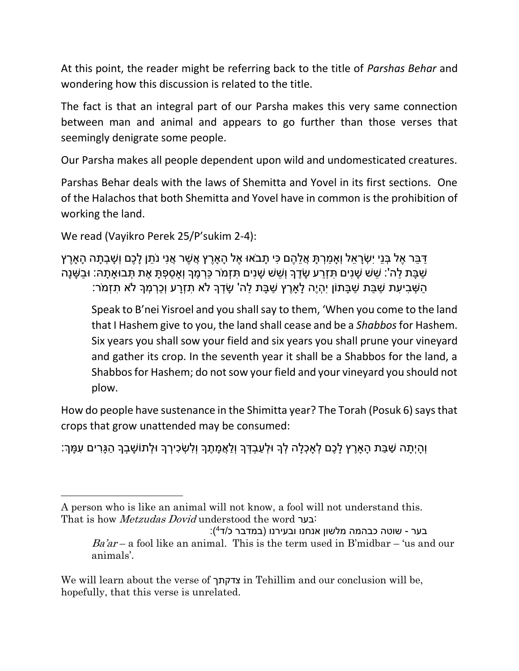At this point, the reader might be referring back to the title of *Parshas Behar* and wondering how this discussion is related to the title.

The fact is that an integral part of our Parsha makes this very same connection between man and animal and appears to go further than those verses that seemingly denigrate some people.

Our Parsha makes all people dependent upon wild and undomesticated creatures.

Parshas Behar deals with the laws of Shemitta and Yovel in its first sections. One of the Halachos that both Shemitta and Yovel have in common is the prohibition of working the land.

```
We read (Vayikro Perek 25/P'sukim 2-4):
```
 $\overline{\phantom{a}}$ 

```
ַדְּבַּר אֶל בְּנֵי יִשְׂראל וְאמרֶת אֱלֹהֶם כִּי תִבֹאוּ אֶל הַארֶץ אֱשֶׁר אֱנִי נֹתן לִכֶם וְשַׁבְתָה הָארֶץ
ַשְׁבַּת לַה': שֵׁשׁ שָׁנִים תִּזְרַע שָׂדֶךְ וְשֵׁשׁ שָׁנִים תִּזְמֹר כַּרְמֶךְ וְאַסְפְתַּ אֶת תִּבוּאַתָה: וּבַשָּׁנַה
         ָּהַשְּׁבִיעִת שַׁבַּת שַׁבָּתוֹן יִהְיֶה לָאֲרֶץ שַׁבָּת לַה' שָׂדְךָ לֹא תְזְרָע וְכַרְמְךָ לֹא תִזְמֹר:
```
Speak to B'nei Yisroel and you shall say to them, 'When you come to the land that I Hashem give to you, the land shall cease and be a *Shabbos*for Hashem. Six years you shall sow your field and six years you shall prune your vineyard and gather its crop. In the seventh year it shall be a Shabbos for the land, a Shabbos for Hashem; do not sow your field and your vineyard you should not plow.

How do people have sustenance in the Shimitta year? The Torah (Posuk 6) says that crops that grow unattended may be consumed:

וְ ָהיְ ָתה ַש ַבת ָהָאֶרץ ָל ֶכם ְלָא ְכ ָלה ְלָך ּו ְל ַע ְב ְדָך וְ ַל ֲא ָמ ֶתָך וְ ִל ְש ִכי ְרָך ּו ְלתֹו ָש ְבָך ַה ָגִרים ִע ָמְך:

We will learn about the verse of צדקתך in Tehillim and our conclusion will be, hopefully, that this verse is unrelated.

A person who is like an animal will not know, a fool will not understand this. That is how Metzudas Dovid understood the word בער:

בער - שוטה כבהמה מלשון אנחנו ובעירנו (במדבר כ/ד<sup>4</sup>):  $Ba'ar - a$  fool like an animal. This is the term used in B'midbar – 'us and our animals'.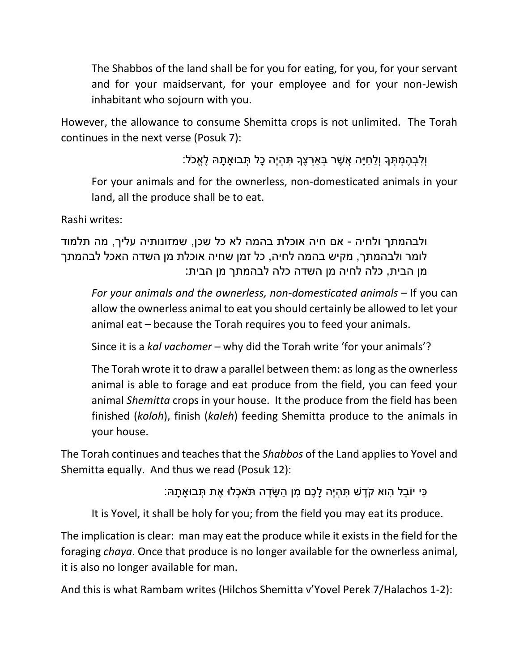The Shabbos of the land shall be for you for eating, for you, for your servant and for your maidservant, for your employee and for your non-Jewish inhabitant who sojourn with you.

However, the allowance to consume Shemitta crops is not unlimited. The Torah continues in the next verse (Posuk 7):

וְלִבְהֶמְתְּךָ וְלַחַיָה אֲשֶׁר בְּאַרְצֶךָ תִּהְיֶה כָל תְּבוּאַתַהּ לֵאֵכֹל:

For your animals and for the ownerless, non-domesticated animals in your land, all the produce shall be to eat.

Rashi writes:

ולבהמתך ולחיה - אם חיה אוכלת בהמה לא כל שכן, שמזונותיה עליך, מה תלמוד לומר ולבהמתך, מקיש בהמה לחיה, כל זמן שחיה אוכלת מן השדה האכל לבהמתך מן הבית, כלה לחיה מן השדה כלה לבהמתך מן הבית:

*For your animals and the ownerless, non-domesticated animals* – If you can allow the ownerless animal to eat you should certainly be allowed to let your animal eat – because the Torah requires you to feed your animals.

Since it is a *kal vachomer* – why did the Torah write 'for your animals'?

The Torah wrote it to draw a parallel between them: as long as the ownerless animal is able to forage and eat produce from the field, you can feed your animal *Shemitta* crops in your house. It the produce from the field has been finished (*koloh*), finish (*kaleh*) feeding Shemitta produce to the animals in your house.

The Torah continues and teaches that the *Shabbos* of the Land applies to Yovel and Shemitta equally. And thus we read (Posuk 12):

ָּכִּי יוֹבֶל הוא קֹדֵשׁ תִּהְיֶה לַכֶם מִן הַשֶּׂדֵה תֹּאכְלוּ אֶת תְּבוּאתַה:

It is Yovel, it shall be holy for you; from the field you may eat its produce.

The implication is clear: man may eat the produce while it exists in the field for the foraging *chaya*. Once that produce is no longer available for the ownerless animal, it is also no longer available for man.

And this is what Rambam writes (Hilchos Shemitta v'Yovel Perek 7/Halachos 1-2):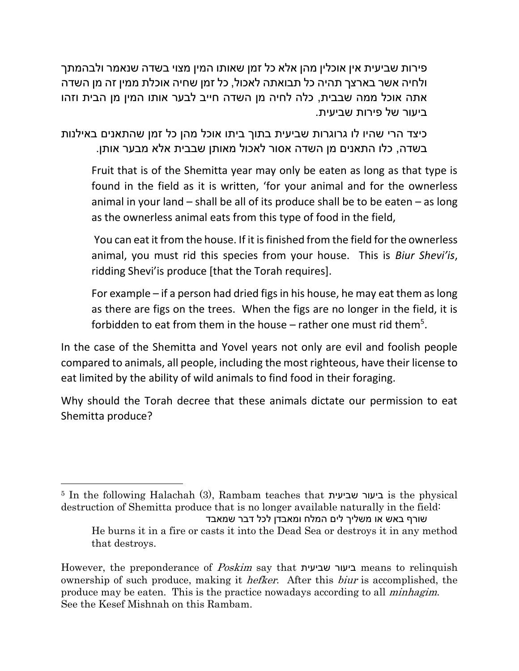פירות שביעית אין אוכלין מהן אלא כל זמן שאותו המין מצוי בשדה שנאמר ולבהמתך ולחיה אשר בארצך תהיה כל תבואתה לאכול, כל זמן שחיה אוכלת ממין זה מן השדה אתה אוכל ממה שבבית, כלה לחיה מן השדה חייב לבער אותו המין מן הבית וזהו ביעור של פירות שביעית.

כיצד הרי שהיו לו גרוגרות שביעית בתוך ביתו אוכל מהן כל זמן שהתאנים באילנות בשדה, כלו התאנים מן השדה אסור לאכול מאותן שבבית אלא מבער אותן.

Fruit that is of the Shemitta year may only be eaten as long as that type is found in the field as it is written, 'for your animal and for the ownerless animal in your land – shall be all of its produce shall be to be eaten – as long as the ownerless animal eats from this type of food in the field,

You can eat it from the house. If it is finished from the field for the ownerless animal, you must rid this species from your house. This is *Biur Shevi'is*, ridding Shevi'is produce [that the Torah requires].

For example – if a person had dried figs in his house, he may eat them as long as there are figs on the trees. When the figs are no longer in the field, it is forbidden to eat from them in the house  $-$  rather one must rid them<sup>5</sup>.

In the case of the Shemitta and Yovel years not only are evil and foolish people compared to animals, all people, including the most righteous, have their license to eat limited by the ability of wild animals to find food in their foraging.

Why should the Torah decree that these animals dictate our permission to eat Shemitta produce?

l

<sup>5</sup> In the following Halachah (3), Rambam teaches that שביעית ביעור is the physical destruction of Shemitta produce that is no longer available naturally in the field: שורף באש או משליך לים המלח ומאבדן לכל דבר שמאבד He burns it in a fire or casts it into the Dead Sea or destroys it in any method that destroys.

However, the preponderance of Poskim say that שביעית ביעור means to relinquish ownership of such produce, making it hefker. After this biur is accomplished, the produce may be eaten. This is the practice nowadays according to all minhagim. See the Kesef Mishnah on this Rambam.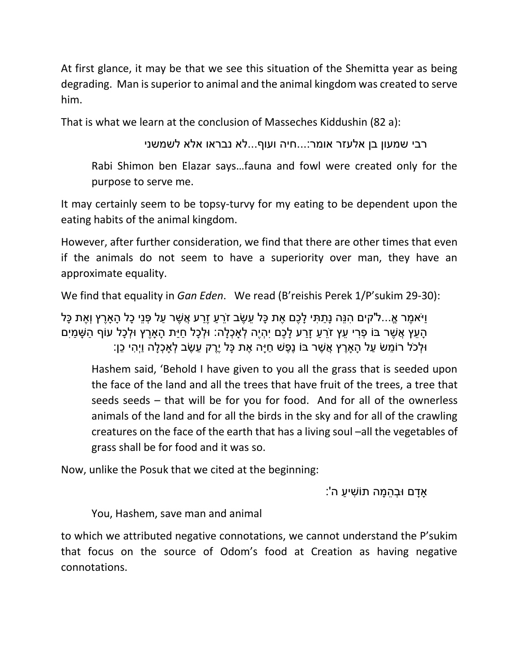At first glance, it may be that we see this situation of the Shemitta year as being degrading. Man is superior to animal and the animal kingdom was created to serve him.

That is what we learn at the conclusion of Masseches Kiddushin (82 a):

רבי שמעון בן אלעזר אומר...:חיה ועוף...לא נבראו אלא לשמשני

Rabi Shimon ben Elazar says…fauna and fowl were created only for the purpose to serve me.

It may certainly seem to be topsy-turvy for my eating to be dependent upon the eating habits of the animal kingdom.

However, after further consideration, we find that there are other times that even if the animals do not seem to have a superiority over man, they have an approximate equality.

We find that equality in *Gan Eden*. We read (B'reishis Perek 1/P'sukim 29-30):

וַיֹּאמֵר אֵ...ל'קים הִנֵּה נַתַתִּי לַכֵם אֶת כַּל עֵשֶׂב זֹרֶעַ זֵרַע אֲשֶׁר עַל פְּנֵי כָל הַארֵץ וְאֶת כַּל ָה יִמְי אֲשֶׁר בּוֹ פָרי עץ זֹרע זִרע לִכֶם יִהְיֶה לְאכָלה: וּלְכל חיּת הארֵץ וּלְכל עוֹף הֹשַׁמִּים ּו ְלכֹל רֹו ֵמש ַעל ָהָאֶרץ ֲא ֶשר בֹו נֶ ֶפש ַחיָה ֶאת ָכל יֶֶרק ֵע ֶשב ְלָא ְכ ָלה וַיְ ִהי ֵכן:

Hashem said, 'Behold I have given to you all the grass that is seeded upon the face of the land and all the trees that have fruit of the trees, a tree that seeds seeds – that will be for you for food. And for all of the ownerless animals of the land and for all the birds in the sky and for all of the crawling creatures on the face of the earth that has a living soul –all the vegetables of grass shall be for food and it was so.

Now, unlike the Posuk that we cited at the beginning:

ָ אַדַם וּבְהֶמָּה תוֹשִׁיעַ ה':

You, Hashem, save man and animal

to which we attributed negative connotations, we cannot understand the P'sukim that focus on the source of Odom's food at Creation as having negative connotations.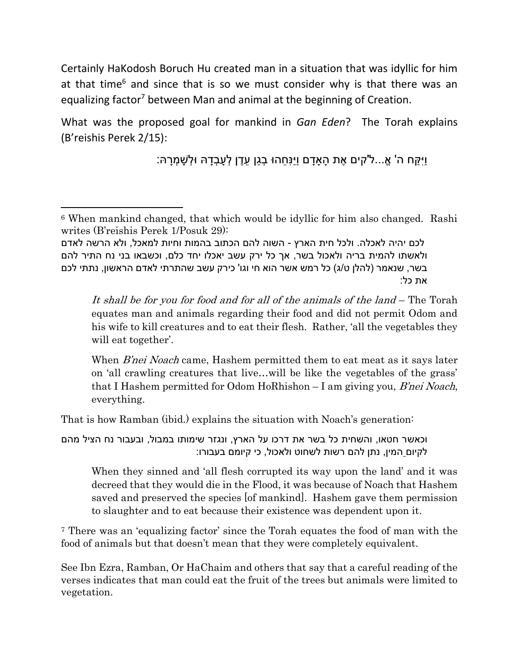Certainly HaKodosh Boruch Hu created man in a situation that was idyllic for him at that time<sup>6</sup> and since that is so we must consider why is that there was an equalizing factor<sup>7</sup> between Man and animal at the beginning of Creation.

What was the proposed goal for mankind in *Gan Eden*? The Torah explains (B'reishis Perek 2/15):

וִיקּח ה' אֱ...ל'קים אֶת הַאדם ויּנַחהוּ בָגן עדֱן לְעַבְדָהּ וּלְשַׁמְרִהּ:

 $\overline{a}$ 

It shall be for you for food and for all of the animals of the land – The Torah equates man and animals regarding their food and did not permit Odom and his wife to kill creatures and to eat their flesh. Rather, 'all the vegetables they will eat together'.

When *B'nei Noach* came, Hashem permitted them to eat meat as it says later on 'all crawling creatures that live…will be like the vegetables of the grass' that I Hashem permitted for Odom HoRhishon  $-$  I am giving you, *B'nei Noach*, everything.

That is how Ramban (ibid.) explains the situation with Noach's generation:

וכאשר חטאו, והשחית כל בשר את דרכו על הארץ, ונגזר שימותו במבול, ובעבור נח הציל מהם לקיום המין, נתן להם רשות לשחוט ולאכול, כי קיומם בעבורו:

When they sinned and 'all flesh corrupted its way upon the land' and it was decreed that they would die in the Flood, it was because of Noach that Hashem saved and preserved the species [of mankind]. Hashem gave them permission to slaughter and to eat because their existence was dependent upon it.

<sup>7</sup> There was an 'equalizing factor' since the Torah equates the food of man with the food of animals but that doesn't mean that they were completely equivalent.

See Ibn Ezra, Ramban, Or HaChaim and others that say that a careful reading of the verses indicates that man could eat the fruit of the trees but animals were limited to vegetation.

<sup>6</sup> When mankind changed, that which would be idyllic for him also changed. Rashi writes (B'reishis Perek 1/Posuk 29):

לכם יהיה לאכלה. ולכל חית הארץ - השוה להם הכתוב בהמות וחיות למאכל, ולא הרשה לאדם ולאשתו להמית בריה ולאכול בשר, אך כל ירק עשב יאכלו יחד כלם, וכשבאו בני נח התיר להם בשר, שנאמר (להלן ט/ג) כל רמש אשר הוא חי וגו' כירק עשב שהתרתי לאדם הראשון, נתתי לכם את כל: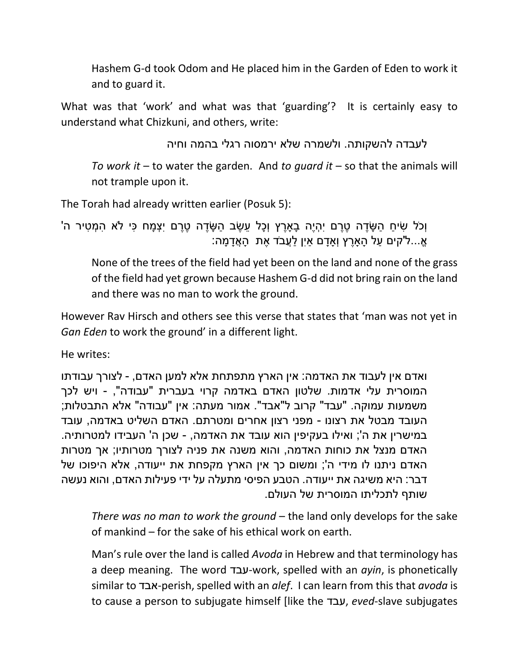Hashem G-d took Odom and He placed him in the Garden of Eden to work it and to guard it.

What was that 'work' and what was that 'guarding'? It is certainly easy to understand what Chizkuni, and others, write:

לעבדה להשקותה. ולשמרה שלא ירמסוה רגלי בהמה וחיה

*To work it* – to water the garden. And *to guard it* – so that the animals will not trample upon it.

The Torah had already written earlier (Posuk 5):

וְכֹל שִׂיחַ הַשֶּׂדֵה טֶרֶם יְהָיֶה בַארֶץ וְכָל עֶשֶׂב הַשֶּׂדֶה טֶרֶם יְצְמַח כִּי לֹא הְמְטִיר ה' ֹאֵ...ל'קים עַל הָאַרֶץ וְאַדָם אַיִן לַעֲבֹד אֶת הָאֲדָמָה:

None of the trees of the field had yet been on the land and none of the grass of the field had yet grown because Hashem G-d did not bring rain on the land and there was no man to work the ground.

However Rav Hirsch and others see this verse that states that 'man was not yet in *Gan Eden* to work the ground' in a different light.

He writes:

ואדם אין לעבוד את האדמה: אין הארץ מתפתחת אלא למען האדם, - לצורך עבודתו המוסרית עלי אדמות. שלטון האדם באדמה קרוי בעברית "עבודה", - ויש לכך משמעות עמוקה. "עבד" קרוב ל"אבד". אמור מעתה: אין "עבודה" אלא התבטלות; העובד מבטל את רצונו - מפני רצון אחרים ומטרתם. האדם השליט באדמה, עובד במישרין את ה'; ואילו בעקיפין הוא עובד את האדמה, - שכן ה' העבידו למטרותיה. האדם מנצל את כוחות האדמה, והוא משנה את פניה לצורך מטרותיו; אך מטרות האדם ניתנו לו מידי ה'; ומשום כך אין הארץ מקפחת את ייעודה, אלא היפוכו של דבר: היא משיגה את ייעודה. הטבע הפיסי מתעלה על ידי פעילות האדם, והוא נעשה שותף לתכליתו המוסרית של העולם.

*There was no man to work the ground* – the land only develops for the sake of mankind – for the sake of his ethical work on earth.

Man's rule over the land is called *Avoda* in Hebrew and that terminology has a deep meaning. The word עבד-work, spelled with an *ayin*, is phonetically similar to אבד-perish, spelled with an *alef*. I can learn from this that *avoda* is to cause a person to subjugate himself [like the עבד, *eved*-slave subjugates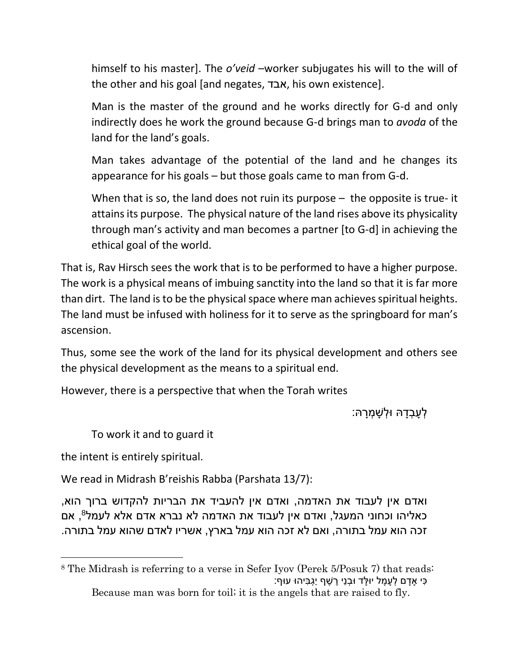himself to his master]. The *o'veid* –worker subjugates his will to the will of the other and his goal [and negates, אבד, his own existence].

Man is the master of the ground and he works directly for G-d and only indirectly does he work the ground because G-d brings man to *avoda* of the land for the land's goals.

Man takes advantage of the potential of the land and he changes its appearance for his goals – but those goals came to man from G-d.

When that is so, the land does not ruin its purpose – the opposite is true- it attains its purpose. The physical nature of the land rises above its physicality through man's activity and man becomes a partner [to G-d] in achieving the ethical goal of the world.

That is, Rav Hirsch sees the work that is to be performed to have a higher purpose. The work is a physical means of imbuing sanctity into the land so that it is far more than dirt. The land is to be the physical space where man achieves spiritual heights. The land must be infused with holiness for it to serve as the springboard for man's ascension.

Thus, some see the work of the land for its physical development and others see the physical development as the means to a spiritual end.

However, there is a perspective that when the Torah writes

ֿלְעֲבָדָהּ וּלְשָׁמְרַהּ:

To work it and to guard it

the intent is entirely spiritual.

 $\overline{\phantom{a}}$ 

We read in Midrash B'reishis Rabba (Parshata 13/7):

ואדם אין לעבוד את האדמה, ואדם אין להעביד את הבריות להקדוש ברוך הוא, 8 כאליהו וכחוני המעגל, ואדם אין לעבוד את האדמה לא נברא אדם אלא לעמל , אם זכה הוא עמל בתורה, ואם לא זכה הוא עמל בארץ, אשריו לאדם שהוא עמל בתורה.

<sup>8</sup> The Midrash is referring to a verse in Sefer Iyov (Perek 5/Posuk 7) that reads: ָּכִּי אַדַם לְעַמַל יוּלֵד וּבְנֵי רֵשֶׁף יַגְבִּיהוּ עוּף:

Because man was born for toil; it is the angels that are raised to fly.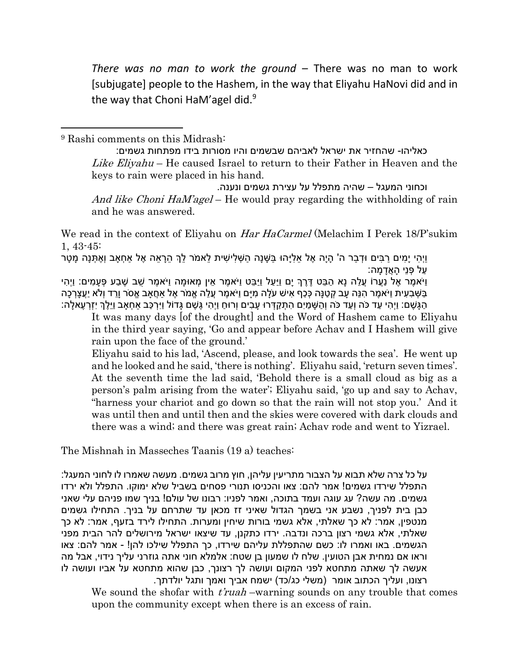*There was no man to work the ground* – There was no man to work [subjugate] people to the Hashem, in the way that Eliyahu HaNovi did and in the way that Choni HaM'agel did.<sup>9</sup>

<sup>9</sup> Rashi comments on this Midrash:

l

כאליהו- שהחזיר את ישראל לאביהם שבשמים והיו מסורות בידו מפתחות גשמים: Like Eliyahu – He caused Israel to return to their Father in Heaven and the keys to rain were placed in his hand.

וכחוני המעגל – שהיה מתפלל על עצירת גשמים ונענה. And like Choni HaM'agel – He would pray regarding the withholding of rain and he was answered.

We read in the context of Eliyahu on *Har HaCarmel* (Melachim I Perek 18/P'sukim 1, 43-45:

וֵיהִי יַמִּים רַבִּים וּדְבַר ה' הַיַה אֶל אֵלְיַהוּ בַּשָּׁנָה הַשְׁלִישִׁית לֵאמֹר לֵךְ הֶרָאֶה אֶל אַחְאַב וְאֶתְּנָה מַטַר ַעל ְפנֵי ָה ֲאָד ָמה:

ויֹאמֵר אֵל נַעַרוֹ עֵלה נא הבּט דֶּרֶךְ יִם וַיִּעל וַיִּבּט וַיֹּאמֵר אין מִאוּמה וַיֹּאמֵר שַׁב שָׁבע פּעמים: ווָהי ַבְּשָׁבְעִית וַיֹּאמֶר הִנֵּה עַב קְטַנַּה כָּכָף אִישׁ עֹלָה מִיַּם וַיֹּאמֶר עֻלָּה אֱמֹר אֵל אחֵאב אֵסֹר וֵרד וְלֹא יַעֲצַרְכָה ָהַגָּשֶׁם: וַיְהִי עַד כֹּה וְעַד כֹּה וְהַשָּׁמַיִם הְתִקַדְּרוּ עָבִים וְרוּחַ וַיְהִי גֶּשֶׁם גָּדוֹל וַיִּרְכַּב אַחְאַב וַיֵּלֶךְ יִזְרְעֶאלָה:

It was many days [of the drought] and the Word of Hashem came to Eliyahu in the third year saying, 'Go and appear before Achav and I Hashem will give rain upon the face of the ground.'

Eliyahu said to his lad, 'Ascend, please, and look towards the sea'. He went up and he looked and he said, 'there is nothing'. Eliyahu said, 'return seven times'. At the seventh time the lad said, 'Behold there is a small cloud as big as a person's palm arising from the water'; Eliyahu said, 'go up and say to Achav, "harness your chariot and go down so that the rain will not stop you.' And it was until then and until then and the skies were covered with dark clouds and there was a wind; and there was great rain; Achav rode and went to Yizrael.

The Mishnah in Masseches Taanis (19 a) teaches:

על כל צרה שלא תבוא על הצבור מתריעין עליהן, חוץ מרוב גשמים. מעשה שאמרו לו לחוני המעגל: התפלל שירדו גשמים! אמר להם: צאו והכניסו תנורי פסחים בשביל שלא ימוקו. התפלל ולא ירדו גשמים. מה עשה? עג עוגה ועמד בתוכה, ואמר לפניו: רבונו של עולם! בניך שמו פניהם עלי שאני כבן בית לפניך, נשבע אני בשמך הגדול שאיני זז מכאן עד שתרחם על בניך. התחילו גשמים מנטפין, אמר: לא כך שאלתי, אלא גשמי בורות שיחין ומערות. התחילו לירד בזעף, אמר: לא כך שאלתי, אלא גשמי רצון ברכה ונדבה. ירדו כתקנן, עד שיצאו ישראל מירושלים להר הבית מפני הגשמים. באו ואמרו לו: כשם שהתפללת עליהם שירדו, כך התפלל שילכו להן! - אמר להם: צאו וראו אם נמחית אבן הטועין. שלח לו שמעון בן שטח: אלמלא חוני אתה גוזרני עליך נידוי, אבל מה אעשה לך שאתה מתחטא לפני המקום ועושה לך רצונך, כבן שהוא מתחטא על אביו ועושה לו רצונו, ועליך הכתוב אומר (משלי כג/כד) ישמח אביך ואמך ותגל יולדתך.

We sound the shofar with  $t$ *ruah* –warning sounds on any trouble that comes upon the community except when there is an excess of rain.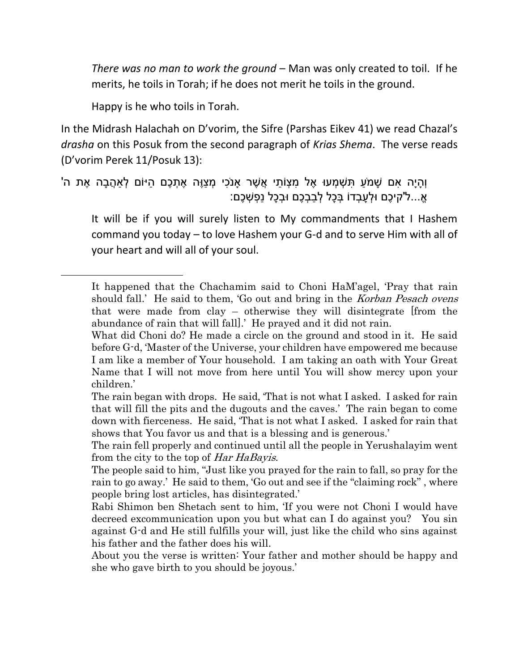*There was no man to work the ground* – Man was only created to toil. If he merits, he toils in Torah; if he does not merit he toils in the ground.

Happy is he who toils in Torah.

 $\overline{\phantom{a}}$ 

In the Midrash Halachah on D'vorim, the Sifre (Parshas Eikev 41) we read Chazal's *drasha* on this Posuk from the second paragraph of *Krias Shema*. The verse reads (D'vorim Perek 11/Posuk 13):

וְהַיָּה אִם שָׁמֹעַ תְּשָׁמְעוּ אֵל מְצָוֹתַי אֲשֶׁר אַנֹכִי מְצָוֶה אֶתְכֶם הַיּוֹם לְאַהֲבָה אֶת ה' ֹא...ל'קיכם וּלעבדוֹ בּכל לבבכם וּבכל נפשׁכם:

It will be if you will surely listen to My commandments that I Hashem command you today – to love Hashem your G-d and to serve Him with all of your heart and will all of your soul.

It happened that the Chachamim said to Choni HaM'agel, 'Pray that rain should fall.' He said to them, 'Go out and bring in the *Korban Pesach ovens* that were made from clay – otherwise they will disintegrate [from the abundance of rain that will fall].' He prayed and it did not rain.

What did Choni do? He made a circle on the ground and stood in it. He said before G-d, 'Master of the Universe, your children have empowered me because I am like a member of Your household. I am taking an oath with Your Great Name that I will not move from here until You will show mercy upon your children.'

The rain began with drops. He said, 'That is not what I asked. I asked for rain that will fill the pits and the dugouts and the caves.' The rain began to come down with fierceness. He said, 'That is not what I asked. I asked for rain that shows that You favor us and that is a blessing and is generous.'

The rain fell properly and continued until all the people in Yerushalayim went from the city to the top of *Har HaBayis*.

The people said to him, "Just like you prayed for the rain to fall, so pray for the rain to go away.' He said to them, 'Go out and see if the "claiming rock" , where people bring lost articles, has disintegrated.'

Rabi Shimon ben Shetach sent to him, 'If you were not Choni I would have decreed excommunication upon you but what can I do against you? You sin against G-d and He still fulfills your will, just like the child who sins against his father and the father does his will.

About you the verse is written: Your father and mother should be happy and she who gave birth to you should be joyous.'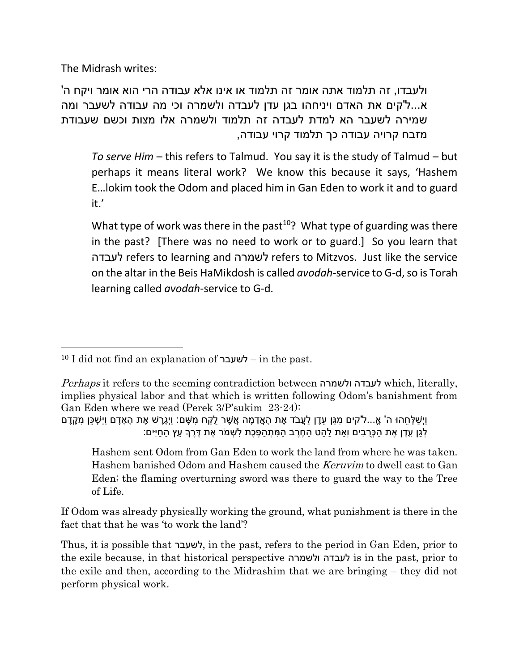The Midrash writes:

ולעבדו, זה תלמוד אתה אומר זה תלמוד או אינו אלא עבודה הרי הוא אומר ויקח ה' א...ל'קים את האדם ויניחהו בגן עדן לעבדה ולשמרה וכי מה עבודה לשעבר ומה שמירה לשעבר הא למדת לעבדה זה תלמוד ולשמרה אלו מצות וכשם שעבודת מזבח קרויה עבודה כך תלמוד קרוי עבודה,

*To serve Him* – this refers to Talmud. You say it is the study of Talmud – but perhaps it means literal work? We know this because it says, 'Hashem E…lokim took the Odom and placed him in Gan Eden to work it and to guard it.'

What type of work was there in the past<sup>10</sup>? What type of guarding was there in the past? [There was no need to work or to guard.] So you learn that לעבדה refers to learning and לשמרה refers to Mitzvos. Just like the service on the altar in the Beis HaMikdosh is called *avodah*-service to G-d, so is Torah learning called *avodah*-service to G-d.

Hashem sent Odom from Gan Eden to work the land from where he was taken. Hashem banished Odom and Hashem caused the *Keruvim* to dwell east to Gan Eden; the flaming overturning sword was there to guard the way to the Tree of Life.

If Odom was already physically working the ground, what punishment is there in the fact that that he was 'to work the land'?

Thus, it is possible that לשעבר, in the past, refers to the period in Gan Eden, prior to the exile because, in that historical perspective ולשמרה לעבדה is in the past, prior to the exile and then, according to the Midrashim that we are bringing – they did not perform physical work.

 $\overline{\phantom{a}}$ <sup>10</sup> I did not find an explanation of לשעבר – in the past.

Perhaps it refers to the seeming contradiction between ולשמרה לעבדה which, literally, implies physical labor and that which is written following Odom's banishment from Gan Eden where we read (Perek 3/P'sukim 23-24):

וַיְשַׁלְחֶהוּ ה' אֵ...ל'קים מְגַּן עֶדֶן לַעֲבֹד אֶת הָאֲדָמָה אֲשֶׁר לָקַח מְשֶׁם: וַיְגֶרֶשׁ אֶת הָאַדַם וַיַּשְׁכֵּן מְקֶדֶם ֹלְגַן עֶדֶן אֶת הַכְּרֻבִים וְאֶת לַהַט הַחֶרֶב הַמְּתְהַפֶּכֶת לְשִׁמֹר אֶת דֶּרֶךְ עֵץ הַחַיִּים: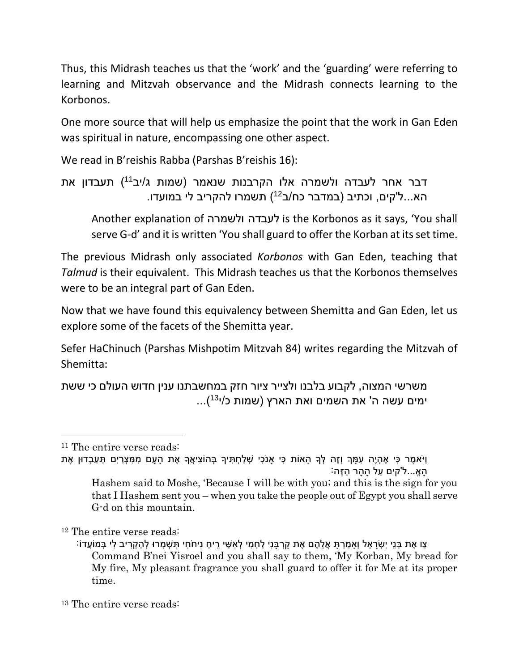Thus, this Midrash teaches us that the 'work' and the 'guarding' were referring to learning and Mitzvah observance and the Midrash connects learning to the Korbonos.

One more source that will help us emphasize the point that the work in Gan Eden was spiritual in nature, encompassing one other aspect.

We read in B'reishis Rabba (Parshas B'reishis 16):

דבר אחר לעבדה ולשמרה אלו הקרבנות שנאמר (שמות ג/יב<sup>11</sup>) תעבדון את הא...ל'קים, וכתיב (במדבר כח/ב<sup>12</sup>) תשמרו להקריב לי במועדו.

Another explanation of ולשמרה לעבדה is the Korbonos as it says, 'You shall serve G-d' and it is written 'You shall guard to offer the Korban at its set time.

The previous Midrash only associated *Korbonos* with Gan Eden, teaching that *Talmud* is their equivalent. This Midrash teaches us that the Korbonos themselves were to be an integral part of Gan Eden.

Now that we have found this equivalency between Shemitta and Gan Eden, let us explore some of the facets of the Shemitta year.

Sefer HaChinuch (Parshas Mishpotim Mitzvah 84) writes regarding the Mitzvah of Shemitta:

משרשי המצוה, לקבוע בלבנו ולצייר ציור חזק במחשבתנו ענין חדוש העולם כי ששת ימים עשה ה' את השמים ואת הארץ (שמות כ/י<sup>13</sup>)...

 $\overline{\phantom{a}}$ 

<sup>11</sup> The entire verse reads:

וַיֹּאמֶר כִּי אֶהְיֶה עְמַּךְ וְזָה לְּךָ הַאוֹת כִּי אנֹכִי שָׁלַחָתִּיךָ בְּהוֹצִיאֵךְ אֶת הַעַם מִמְצָרַיִם תַּעֲבִדוּן אֶת ֹ.הֵאֱ...ל'קים עֵל הַהָּר הַזֶּה

Hashem said to Moshe, 'Because I will be with you; and this is the sign for you that I Hashem sent you – when you take the people out of Egypt you shall serve G-d on this mountain.

<sup>12</sup> The entire verse reads:

<sup>ַ</sup>צו אֶת בְּנֵי יִשְׂרָאֵל וְאַמַרְתָּ אֲלֶהֶם אֶת קַרְבַּנִי לַחְמִי לְאִשַּׁי רֵיחַ נַיחֹחִי תְּשָׁמְרוּ לְהַקְרִיב לי בִּמוֹעֵדוֹ Command B'nei Yisroel and you shall say to them, 'My Korban, My bread for My fire, My pleasant fragrance you shall guard to offer it for Me at its proper time.

<sup>&</sup>lt;sup>13</sup> The entire verse reads: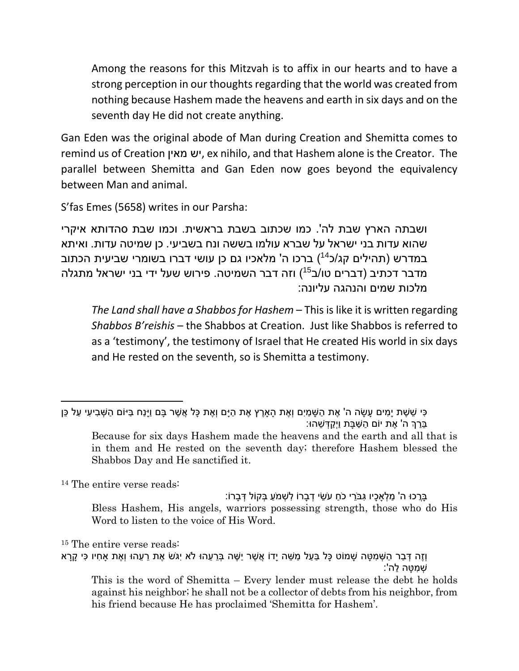Among the reasons for this Mitzvah is to affix in our hearts and to have a strong perception in our thoughts regarding that the world was created from nothing because Hashem made the heavens and earth in six days and on the seventh day He did not create anything.

Gan Eden was the original abode of Man during Creation and Shemitta comes to remind us of Creation מאין יש, ex nihilo, and that Hashem alone is the Creator. The parallel between Shemitta and Gan Eden now goes beyond the equivalency between Man and animal.

S'fas Emes (5658) writes in our Parsha:

ושבתה הארץ שבת לה'. כמו שכתוב בשבת בראשית. וכמו שבת סהדותא איקרי שהוא עדות בני ישראל על שברא עולמו בששה ונח בשביעי. כן שמיטה עדות. ואיתא במדרש (תהילים קג/כ<sup>14</sup>) ברכו ה' מלאכיו גם כן עושי דברו בשומרי שביעית הכתוב מדבר דכתיב (דברים טו/ב<sup>15</sup>) וזה דבר השמיטה. פירוש שעל ידי בני ישראל מתגלה מלכות שמים והנהגה עליונה:

*The Land shall have a Shabbos for Hashem* – This is like it is written regarding *Shabbos B'reishis* – the Shabbos at Creation. Just like Shabbos is referred to as a 'testimony', the testimony of Israel that He created His world in six days and He rested on the seventh, so is Shemitta a testimony.

<sup>14</sup> The entire verse reads:

 $\overline{\phantom{a}}$ 

ָבְרָכוּ ה' מַלְאַכִיו גִבֵּרי כֹח עֹשׂי דָברוֹ לֹשָׁמֹע בַּקוֹל דְּברוֹ: Bless Hashem, His angels, warriors possessing strength, those who do His Word to listen to the voice of His Word.

<sup>15</sup> The entire verse reads:

<sup>ָּ</sup>כִּי שֵׁשֶׁת יָמִים עָשָׂה ה' אֶת הַשָּׁמַיִם וְאֶת הָאָרֶץ אֶת הַיָּם וְאֶת כָּל אֲשֶׁר בָּם וַיָּנַח בַּיּוֹם הַשְּׁבִיעִי עַל כֵּן ֵבַרְך ה' ֶאת יֹום ַה ַש ָבת וַיְ ַק ְד ֵשהּו:

Because for six days Hashem made the heavens and the earth and all that is in them and He rested on the seventh day; therefore Hashem blessed the Shabbos Day and He sanctified it.

וְזֶה דְּבַר הַשָּׁמִטָּה שַׁמוֹט כָּל בַּעַל מַשָּׁה יָדוֹ אֱשֶׁר יַשֶּׁה בְּרֵעֶהוּ לֹא יִגֹּשׂ אֶת רֵעֶהוּ וְאֶת אחִיו כִּי קַרַא ַשׁמטה לה':

This is the word of Shemitta – Every lender must release the debt he holds against his neighbor; he shall not be a collector of debts from his neighbor, from his friend because He has proclaimed 'Shemitta for Hashem'.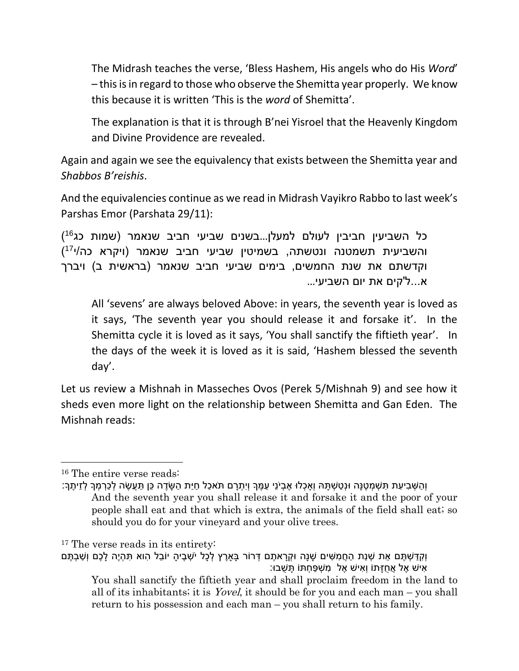The Midrash teaches the verse, 'Bless Hashem, His angels who do His *Word*' – this is in regard to those who observe the Shemitta year properly. We know this because it is written 'This is the *word* of Shemitta'.

The explanation is that it is through B'nei Yisroel that the Heavenly Kingdom and Divine Providence are revealed.

Again and again we see the equivalency that exists between the Shemitta year and *Shabbos B'reishis*.

And the equivalencies continue as we read in Midrash Vayikro Rabbo to last week's Parshas Emor (Parshata 29/11):

כל השביעין חביבין לעולם למעלן...בשנים שביעי חביב שנאמר (שמות כג<sup>16</sup>) ( <sup>17</sup> והשביעית תשמטנה ונטשתה, בשמיטין שביעי חביב שנאמר )ויקרא כה/י וקדשתם את שנת החמשים, בימים שביעי חביב שנאמר (בראשית ב) ויברך א...ל'קים את יום השביעי...

All 'sevens' are always beloved Above: in years, the seventh year is loved as it says, 'The seventh year you should release it and forsake it'. In the Shemitta cycle it is loved as it says, 'You shall sanctify the fiftieth year'. In the days of the week it is loved as it is said, 'Hashem blessed the seventh day'.

Let us review a Mishnah in Masseches Ovos (Perek 5/Mishnah 9) and see how it sheds even more light on the relationship between Shemitta and Gan Eden. The Mishnah reads:

 $\overline{a}$ 

<sup>16</sup> The entire verse reads:

וְ ַה ְש ִבי ִעת ִת ְש ְמ ֶטנָה ּונְ ַט ְש ָתּה וְָא ְכלּו ֶא ְביֹנֵי ַע ֶמָך וְיִ ְתָרם תֹא ַכל ַחיַת ַה ָשֶדה ֵכן ַתֲע ֶשה ְל ַכ ְר ְמָך ְלזֵי ֶתָך: And the seventh year you shall release it and forsake it and the poor of your people shall eat and that which is extra, the animals of the field shall eat; so should you do for your vineyard and your olive trees.

<sup>17</sup> The verse reads in its entirety:

וְקַדַּשְׁתֵּם אֶת שָׁנַת הַחֲמִשִּׁים שֶׁנֵה וּקְרַאתֶם דְּרוֹר בַּארֵץ לְכָל יֹשָׁבֵיהַ יוֹבֵל הוא תִּהְיֶה לֵכֶם וְשַׁבְתֵּם ָּאִישׁ אֶל אֲחֻזָּתוֹ וְאִישׁ אֶל מְשִׁפַּחִתּוֹ תָּשֶׁבוּ:

You shall sanctify the fiftieth year and shall proclaim freedom in the land to all of its inhabitants; it is *Yovel*, it should be for you and each man – you shall return to his possession and each man – you shall return to his family.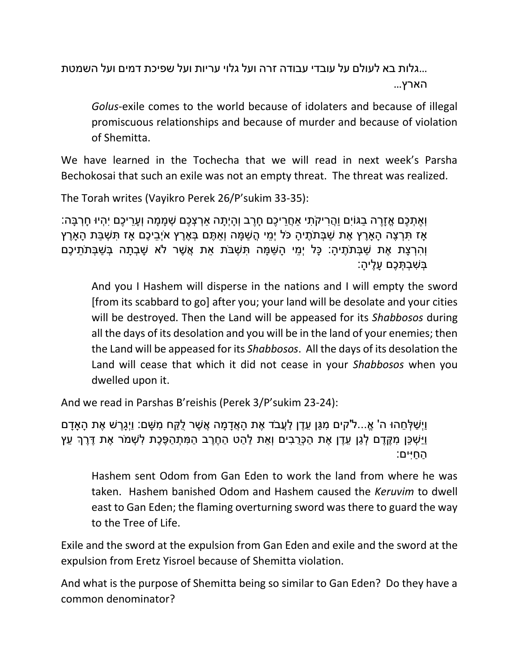...גלות בא לעולם על עובדי עבודה זרה ועל גלוי עריות ועל שפיכת דמים ועל השמטת הארץ...

*Golus*-exile comes to the world because of idolaters and because of illegal promiscuous relationships and because of murder and because of violation of Shemitta.

We have learned in the Tochecha that we will read in next week's Parsha Bechokosai that such an exile was not an empty threat. The threat was realized.

The Torah writes (Vayikro Perek 26/P'sukim 33-35):

וְ ֶא ְת ֶכם א ָזֶרה ַבגֹויִם וֲַה ִריקֹ ִתי ַא ֲחֵרי ֶכם ָחֶרב וְ ָהיְ ָתה ַא ְר ְצ ֶכם ְש ָמ ָמה וְ ָעֵרי ֶכם יִ ְהיּו ָח ְר ָבה: ָאָז תִּרְצֶה הָאָרֶץ אֶת שַׁבְּתֹתֶיהָ כֹּל יְמֵי הֳשַׁמָּה וְאַתֶּם בְּאֶרֶץ אֹיְבֵיכֶם אָז תִּשְׁבַּת הָאָרֶץ ֿוְהִרְצָת אֶת שַׁבְּתֹתֶיהָ: כָּל יְמֵי הָשַׁמָּה תְּשְׁבֹּת אֶת אֲשֶׁר לֹא שָׁבְתָה בְּשַׁבְּתֹתֵיכֶם ַבְּשָׁבְתְּכֶם עֲלֵיהַ:

And you I Hashem will disperse in the nations and I will empty the sword [from its scabbard to go] after you; your land will be desolate and your cities will be destroyed. Then the Land will be appeased for its *Shabbosos* during all the days of its desolation and you will be in the land of your enemies; then the Land will be appeased for its *Shabbosos*. All the days of its desolation the Land will cease that which it did not cease in your *Shabbosos* when you dwelled upon it.

And we read in Parshas B'reishis (Perek 3/P'sukim 23-24):

וַיְשַׁלְחֵהוּ ה' אֱ...ל'קים מִגֵּן עֶדֶן לַעֲבֹד אֶת הַאֲדָמַה אֲשֶׁר לָקַח מְשֶׁם: וַיְגֶרֵשׁ אֶת הַאדָם וַיַ ְש ֵכן ִמ ֶקֶדם ְל ַגן ֵעֶדן ֶאת ַה ְכֻׁר ִבים וְ ֵאת ַל ַהט ַה ֶחֶרב ַה ִמ ְת ַה ֶפ ֶכת ִל ְשמֹר ֶאת ֶדֶרְך ֵעץ ַה ַחיִים:

Hashem sent Odom from Gan Eden to work the land from where he was taken. Hashem banished Odom and Hashem caused the *Keruvim* to dwell east to Gan Eden; the flaming overturning sword was there to guard the way to the Tree of Life.

Exile and the sword at the expulsion from Gan Eden and exile and the sword at the expulsion from Eretz Yisroel because of Shemitta violation.

And what is the purpose of Shemitta being so similar to Gan Eden? Do they have a common denominator?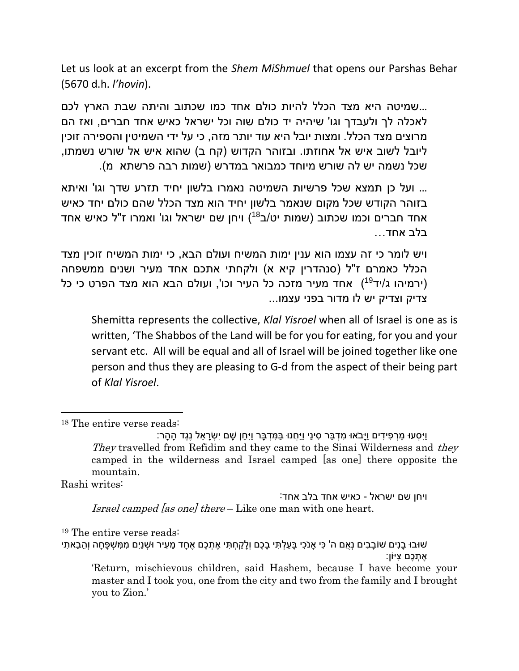Let us look at an excerpt from the *Shem MiShmuel* that opens our Parshas Behar (5670 d.h. *l'hovin*).

...שמיטה היא מצד הכלל להיות כולם אחד כמו שכתוב והיתה שבת הארץ לכם לאכלה לך ולעבדך וגו' שיהיה יד כולם שוה וכל ישראל כאיש אחד חברים, ואז הם מרוצים מצד הכלל. ומצות יובל היא עוד יותר מזה, כי על ידי השמיטין והספירה זוכין ליובל לשוב איש אל אחוזתו. ובזוהר הקדוש (קח ב) שהוא איש אל שורש נשמתו, שכל נשמה יש לה שורש מיוחד כמבואר במדרש )שמות רבה פרשתא מ(.

... ועל כן תמצא שכל פרשיות השמיטה נאמרו בלשון יחיד תזרע שדך וגו' ואיתא בזוהר הקודש שכל מקום שנאמר בלשון יחיד הוא מצד הכלל שהם כולם יחד כאיש אחד חברים וכמו שכתוב (שמות יט/ב<sup>18</sup>) ויחן שם ישראל וגו' ואמרו ז"ל כאיש אחד בלב אחד...

ויש לומר כי זה עצמו הוא ענין ימות המשיח ועולם הבא, כי ימות המשיח זוכין מצד הכלל כאמרם ז"ל (סנהדרין קיא א) ולקחתי אתכם אחד מעיר ושנים ממשפחה (ירמיהו ג/יד<sup>19</sup>) אחד מעיר מזכה כל העיר וכו', ועולם הבא הוא מצד הפרט כי כל צדיק וצדיק יש לו מדור בפני עצמו...

Shemitta represents the collective, *Klal Yisroel* when all of Israel is one as is written, 'The Shabbos of the Land will be for you for eating, for you and your servant etc. All will be equal and all of Israel will be joined together like one person and thus they are pleasing to G-d from the aspect of their being part of *Klal Yisroel*.

Rashi writes:

 $\overline{a}$ 

ויחן שם ישראל - כאיש אחד בלב אחד: Israel camped [as one] there – Like one man with one heart.

<sup>19</sup> The entire verse reads:

<sup>18</sup> The entire verse reads:

ויסעו מרפידים ויבֹאוּ מדבּר סיני ויחנו במדבּר ויחן שם ישׂראל נגד ההר: They travelled from Refidim and they came to the Sinai Wilderness and they camped in the wilderness and Israel camped [as one] there opposite the mountain.

<sup>ּ</sup>שׁוּבוּ בָנִים שׁוֹבָבִים נְאֶם ה' כִּי אַנֹכִי בַּעֲלְתִּי בָכֶם וְלַקַחְתִּי אֶתְכֶם אֶחַד מֵעִיר וּשָׁנַיֵם מִמְּשִׁפָּחַה וְהֵבֵאתִי ָאתכם ציּוֹו

<sup>&#</sup>x27;Return, mischievous children, said Hashem, because I have become your master and I took you, one from the city and two from the family and I brought you to Zion.'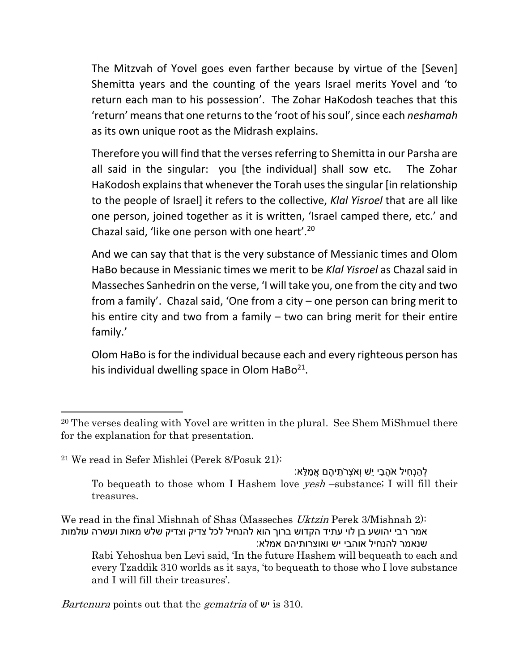The Mitzvah of Yovel goes even farther because by virtue of the [Seven] Shemitta years and the counting of the years Israel merits Yovel and 'to return each man to his possession'. The Zohar HaKodosh teaches that this 'return' means that one returns to the 'root of his soul', since each *neshamah* as its own unique root as the Midrash explains.

Therefore you will find that the verses referring to Shemitta in our Parsha are all said in the singular: you [the individual] shall sow etc. The Zohar HaKodosh explains that whenever the Torah uses the singular [in relationship to the people of Israel] it refers to the collective, *Klal Yisroel* that are all like one person, joined together as it is written, 'Israel camped there, etc.' and Chazal said, 'like one person with one heart'.<sup>20</sup>

And we can say that that is the very substance of Messianic times and Olom HaBo because in Messianic times we merit to be *Klal Yisroel* as Chazal said in Masseches Sanhedrin on the verse, 'I will take you, one from the city and two from a family'. Chazal said, 'One from a city – one person can bring merit to his entire city and two from a family – two can bring merit for their entire family.'

Olom HaBo is for the individual because each and every righteous person has his individual dwelling space in Olom HaBo<sup>21</sup>.

 $\overline{\phantom{a}}$ 

ָלהנחיל אֹהבי יִשׁ ואֹצרֹתיהם אמלא: To bequeath to those whom I Hashem love *yesh* –substance; I will fill their treasures.

We read in the final Mishnah of Shas (Masseches *Uktzin* Perek 3/Mishnah 2): אמר רבי יהושע בן לוי עתיד הקדוש ברוך הוא להנחיל לכל צדיק וצדיק שלש מאות ועשרה עולמות שנאמר להנחיל אוהבי יש ואוצרותיהם אמלא:

<sup>20</sup> The verses dealing with Yovel are written in the plural. See Shem MiShmuel there for the explanation for that presentation.

<sup>21</sup> We read in Sefer Mishlei (Perek 8/Posuk 21):

Rabi Yehoshua ben Levi said, 'In the future Hashem will bequeath to each and every Tzaddik 310 worlds as it says, 'to bequeath to those who I love substance and I will fill their treasures'.

Bartenura points out that the *gematria* of  $\psi$  is 310.